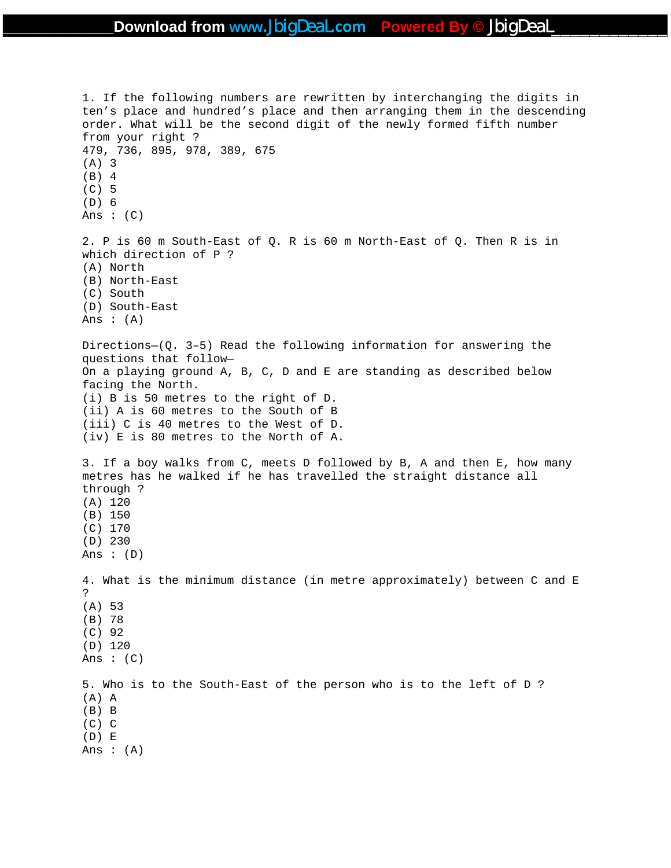1. If the following numbers are rewritten by interchanging the digits in ten's place and hundred's place and then arranging them in the descending order. What will be the second digit of the newly formed fifth number from your right ? 479, 736, 895, 978, 389, 675 (A) 3 (B) 4 (C) 5 (D) 6 Ans :  $(C)$ 2. P is 60 m South-East of Q. R is 60 m North-East of Q. Then R is in which direction of P ? (A) North (B) North-East (C) South (D) South-East Ans  $:(A)$ Directions—(Q. 3–5) Read the following information for answering the questions that follow— On a playing ground A, B, C, D and E are standing as described below facing the North. (i) B is 50 metres to the right of D. (ii) A is 60 metres to the South of B (iii) C is 40 metres to the West of D. (iv) E is 80 metres to the North of A. 3. If a boy walks from C, meets D followed by B, A and then E, how many metres has he walked if he has travelled the straight distance all through ? (A) 120 (B) 150 (C) 170 (D) 230 Ans : (D) 4. What is the minimum distance (in metre approximately) between C and E ? (A) 53 (B) 78 (C) 92 (D) 120 Ans  $:(C)$ 5. Who is to the South-East of the person who is to the left of D ? (A) A (B) B (C) C (D) E Ans : (A)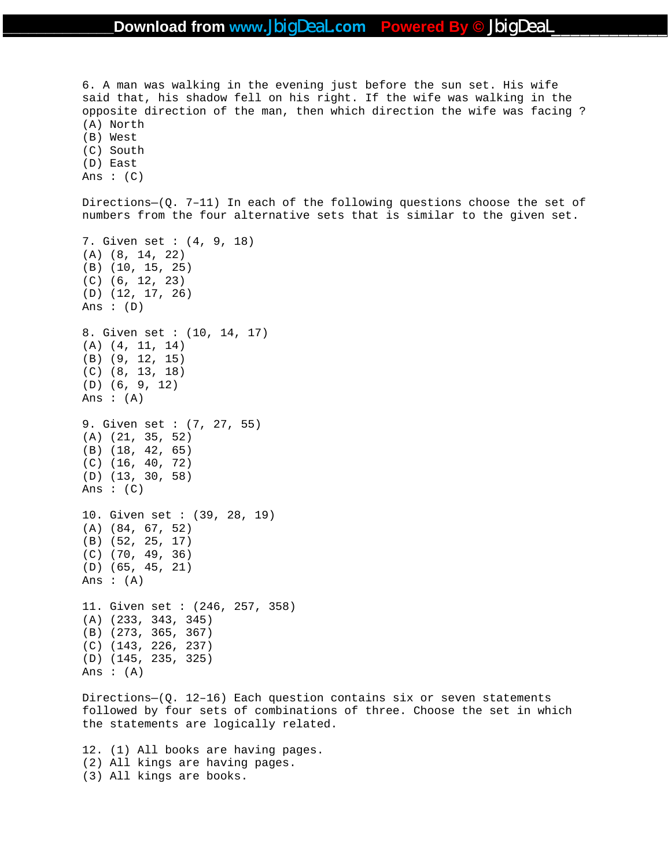6. A man was walking in the evening just before the sun set. His wife said that, his shadow fell on his right. If the wife was walking in the opposite direction of the man, then which direction the wife was facing ? (A) North (B) West (C) South (D) East Ans  $:(C)$ Directions—(Q. 7–11) In each of the following questions choose the set of numbers from the four alternative sets that is similar to the given set. 7. Given set : (4, 9, 18) (A) (8, 14, 22) (B) (10, 15, 25) (C) (6, 12, 23) (D) (12, 17, 26) Ans : (D) 8. Given set : (10, 14, 17) (A) (4, 11, 14) (B) (9, 12, 15) (C) (8, 13, 18) (D) (6, 9, 12) Ans :  $(A)$ 9. Given set : (7, 27, 55) (A) (21, 35, 52) (B) (18, 42, 65) (C) (16, 40, 72) (D) (13, 30, 58) Ans :  $(C)$ 10. Given set : (39, 28, 19) (A) (84, 67, 52) (B) (52, 25, 17) (C) (70, 49, 36) (D) (65, 45, 21) Ans  $:(A)$ 11. Given set : (246, 257, 358) (A) (233, 343, 345) (B) (273, 365, 367) (C) (143, 226, 237) (D) (145, 235, 325) Ans :  $(A)$ 

Directions—(Q. 12–16) Each question contains six or seven statements followed by four sets of combinations of three. Choose the set in which the statements are logically related.

12. (1) All books are having pages. (2) All kings are having pages. (3) All kings are books.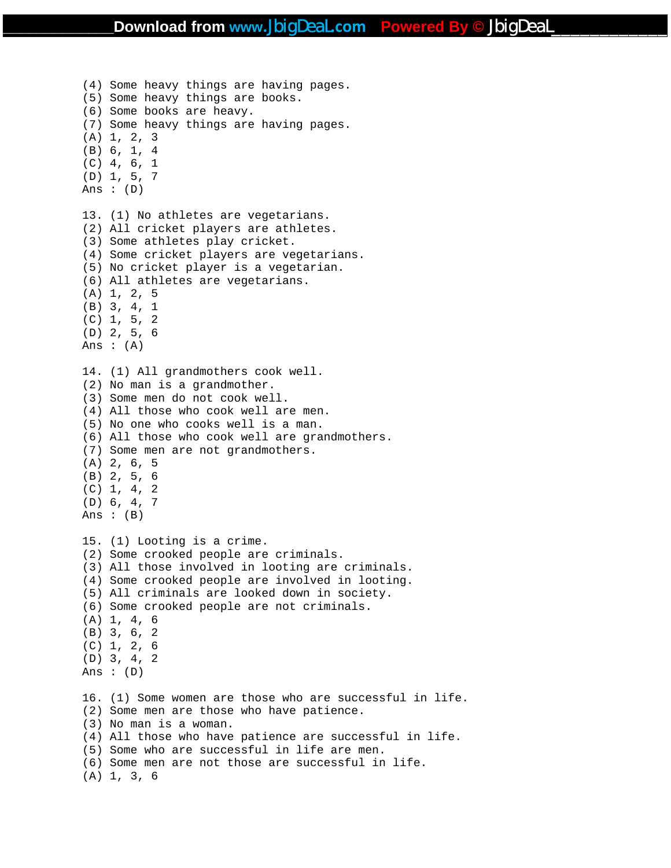(4) Some heavy things are having pages. (5) Some heavy things are books. (6) Some books are heavy. (7) Some heavy things are having pages. (A) 1, 2, 3 (B) 6, 1, 4 (C) 4, 6, 1 (D) 1, 5, 7 Ans :  $(D)$ 13. (1) No athletes are vegetarians. (2) All cricket players are athletes. (3) Some athletes play cricket. (4) Some cricket players are vegetarians. (5) No cricket player is a vegetarian. (6) All athletes are vegetarians. (A) 1, 2, 5 (B) 3, 4, 1 (C) 1, 5, 2 (D) 2, 5, 6 Ans  $:(A)$ 14. (1) All grandmothers cook well. (2) No man is a grandmother. (3) Some men do not cook well. (4) All those who cook well are men. (5) No one who cooks well is a man. (6) All those who cook well are grandmothers. (7) Some men are not grandmothers. (A) 2, 6, 5 (B) 2, 5, 6  $(C)$  1, 4, 2 (D) 6, 4, 7 Ans  $: (B)$ 15. (1) Looting is a crime. (2) Some crooked people are criminals. (3) All those involved in looting are criminals. (4) Some crooked people are involved in looting. (5) All criminals are looked down in society. (6) Some crooked people are not criminals. (A) 1, 4, 6 (B) 3, 6, 2 (C) 1, 2, 6 (D) 3, 4, 2 Ans : (D) 16. (1) Some women are those who are successful in life. (2) Some men are those who have patience. (3) No man is a woman. (4) All those who have patience are successful in life. (5) Some who are successful in life are men. (6) Some men are not those are successful in life. (A) 1, 3, 6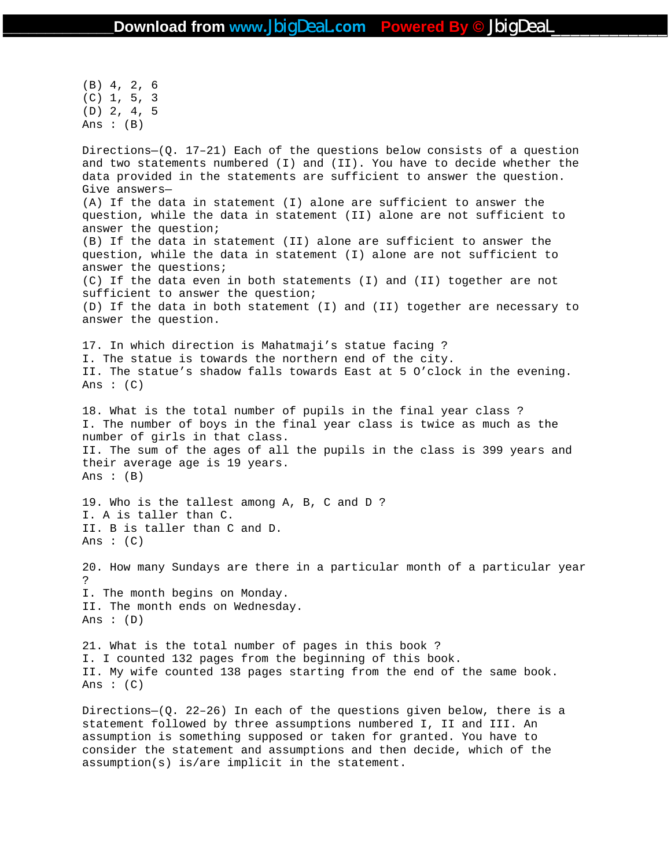(B) 4, 2, 6 (C) 1, 5, 3 (D) 2, 4, 5 Ans  $:(B)$ 

Directions– $(Q. 17-21)$  Each of the questions below consists of a question and two statements numbered (I) and (II). You have to decide whether the data provided in the statements are sufficient to answer the question. Give answers— (A) If the data in statement (I) alone are sufficient to answer the question, while the data in statement (II) alone are not sufficient to answer the question; (B) If the data in statement (II) alone are sufficient to answer the question, while the data in statement (I) alone are not sufficient to answer the questions; (C) If the data even in both statements (I) and (II) together are not sufficient to answer the question; (D) If the data in both statement (I) and (II) together are necessary to answer the question. 17. In which direction is Mahatmaji's statue facing ? I. The statue is towards the northern end of the city. II. The statue's shadow falls towards East at 5 O'clock in the evening. Ans :  $(C)$ 18. What is the total number of pupils in the final year class ? I. The number of boys in the final year class is twice as much as the number of girls in that class. II. The sum of the ages of all the pupils in the class is 399 years and their average age is 19 years. Ans :  $(B)$ 19. Who is the tallest among A, B, C and D ? I. A is taller than C. II. B is taller than C and D. Ans :  $(C)$ 20. How many Sundays are there in a particular month of a particular year ? I. The month begins on Monday. II. The month ends on Wednesday. Ans :  $(D)$ 21. What is the total number of pages in this book ? I. I counted 132 pages from the beginning of this book. II. My wife counted 138 pages starting from the end of the same book. Ans :  $(C)$ 

Directions- $(Q. 22-26)$  In each of the questions given below, there is a statement followed by three assumptions numbered I, II and III. An assumption is something supposed or taken for granted. You have to consider the statement and assumptions and then decide, which of the assumption(s) is/are implicit in the statement.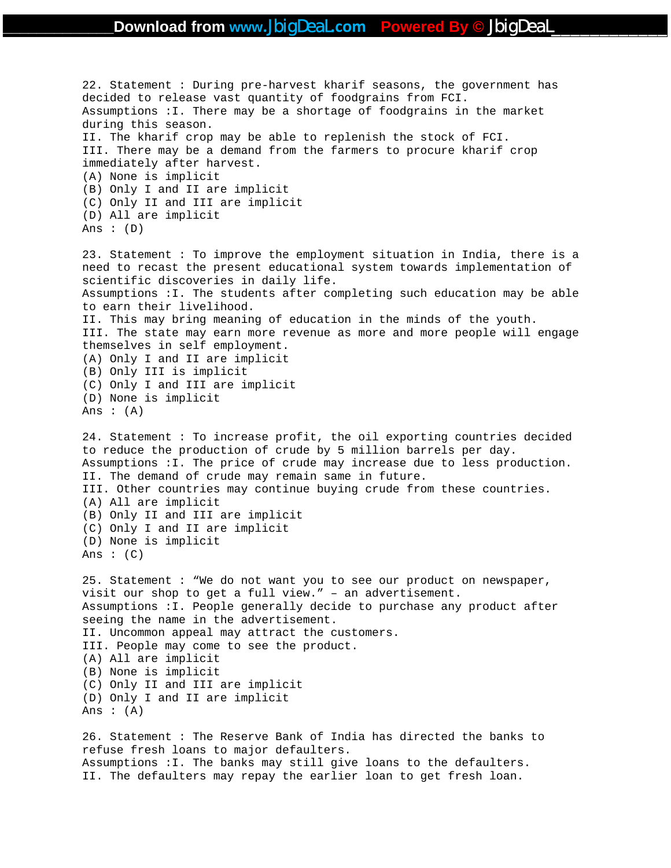```
22. Statement : During pre-harvest kharif seasons, the government has 
decided to release vast quantity of foodgrains from FCI. 
Assumptions :I. There may be a shortage of foodgrains in the market 
during this season. 
II. The kharif crop may be able to replenish the stock of FCI. 
III. There may be a demand from the farmers to procure kharif crop 
immediately after harvest. 
(A) None is implicit 
(B) Only I and II are implicit 
(C) Only II and III are implicit 
(D) All are implicit 
Ans : (D)23. Statement : To improve the employment situation in India, there is a 
need to recast the present educational system towards implementation of 
scientific discoveries in daily life. 
Assumptions :I. The students after completing such education may be able 
to earn their livelihood. 
II. This may bring meaning of education in the minds of the youth. 
III. The state may earn more revenue as more and more people will engage 
themselves in self employment. 
(A) Only I and II are implicit 
(B) Only III is implicit 
(C) Only I and III are implicit 
(D) None is implicit 
Ans :(A)24. Statement : To increase profit, the oil exporting countries decided 
to reduce the production of crude by 5 million barrels per day. 
Assumptions :I. The price of crude may increase due to less production. 
II. The demand of crude may remain same in future. 
III. Other countries may continue buying crude from these countries. 
(A) All are implicit 
(B) Only II and III are implicit 
(C) Only I and II are implicit 
(D) None is implicit 
Ans : (C)25. Statement : "We do not want you to see our product on newspaper, 
visit our shop to get a full view." – an advertisement. 
Assumptions :I. People generally decide to purchase any product after 
seeing the name in the advertisement. 
II. Uncommon appeal may attract the customers. 
III. People may come to see the product. 
(A) All are implicit 
(B) None is implicit 
(C) Only II and III are implicit 
(D) Only I and II are implicit 
Ans : (A)26. Statement : The Reserve Bank of India has directed the banks to 
refuse fresh loans to major defaulters. 
Assumptions :I. The banks may still give loans to the defaulters. 
II. The defaulters may repay the earlier loan to get fresh loan.
```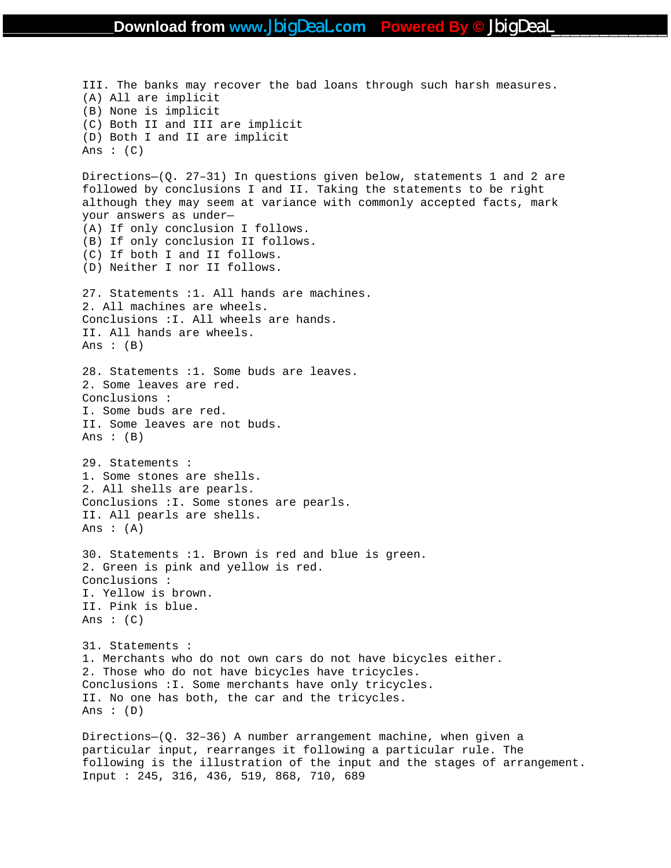III. The banks may recover the bad loans through such harsh measures. (A) All are implicit (B) None is implicit (C) Both II and III are implicit (D) Both I and II are implicit Ans  $: (C)$ Directions—(Q. 27–31) In questions given below, statements 1 and 2 are followed by conclusions I and II. Taking the statements to be right although they may seem at variance with commonly accepted facts, mark your answers as under— (A) If only conclusion I follows. (B) If only conclusion II follows. (C) If both I and II follows. (D) Neither I nor II follows. 27. Statements :1. All hands are machines. 2. All machines are wheels. Conclusions :I. All wheels are hands. II. All hands are wheels. Ans  $:(B)$ 28. Statements :1. Some buds are leaves. 2. Some leaves are red. Conclusions : I. Some buds are red. II. Some leaves are not buds. Ans  $: (B)$ 29. Statements : 1. Some stones are shells. 2. All shells are pearls. Conclusions :I. Some stones are pearls. II. All pearls are shells. Ans :  $(A)$ 30. Statements :1. Brown is red and blue is green. 2. Green is pink and yellow is red. Conclusions : I. Yellow is brown. II. Pink is blue. Ans :  $(C)$ 31. Statements : 1. Merchants who do not own cars do not have bicycles either. 2. Those who do not have bicycles have tricycles. Conclusions :I. Some merchants have only tricycles. II. No one has both, the car and the tricycles. Ans : (D) Directions—(Q. 32–36) A number arrangement machine, when given a particular input, rearranges it following a particular rule. The following is the illustration of the input and the stages of arrangement. Input : 245, 316, 436, 519, 868, 710, 689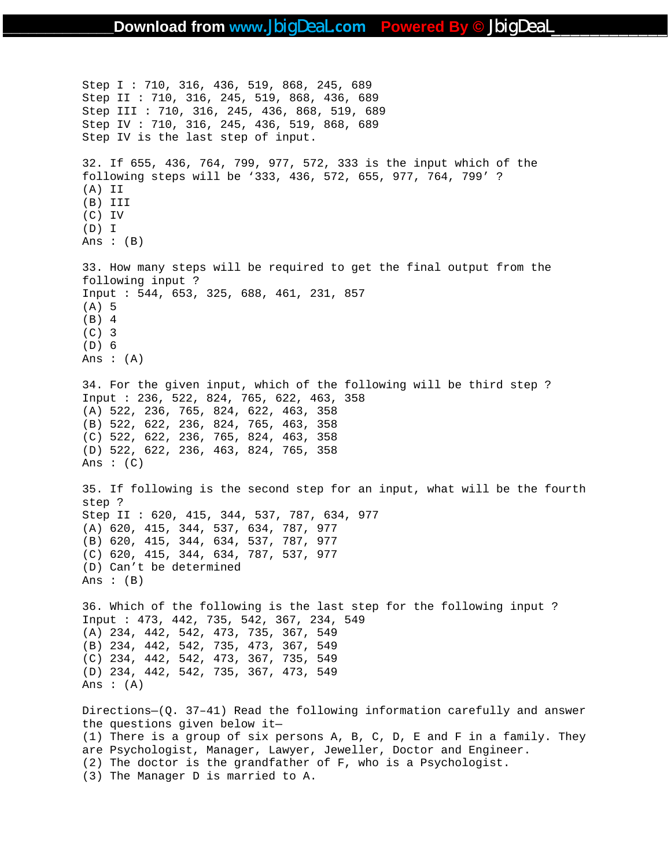Step I : 710, 316, 436, 519, 868, 245, 689 Step II : 710, 316, 245, 519, 868, 436, 689 Step III : 710, 316, 245, 436, 868, 519, 689 Step IV : 710, 316, 245, 436, 519, 868, 689 Step IV is the last step of input. 32. If 655, 436, 764, 799, 977, 572, 333 is the input which of the following steps will be '333, 436, 572, 655, 977, 764, 799' ? (A) II (B) III (C) IV (D) I Ans : (B) 33. How many steps will be required to get the final output from the following input ? Input : 544, 653, 325, 688, 461, 231, 857 (A) 5 (B) 4 (C) 3 (D) 6 Ans  $: (A)$ 34. For the given input, which of the following will be third step ? Input : 236, 522, 824, 765, 622, 463, 358 (A) 522, 236, 765, 824, 622, 463, 358 (B) 522, 622, 236, 824, 765, 463, 358 (C) 522, 622, 236, 765, 824, 463, 358 (D) 522, 622, 236, 463, 824, 765, 358 Ans :  $(C)$ 35. If following is the second step for an input, what will be the fourth step ? Step II : 620, 415, 344, 537, 787, 634, 977 (A) 620, 415, 344, 537, 634, 787, 977 (B) 620, 415, 344, 634, 537, 787, 977 (C) 620, 415, 344, 634, 787, 537, 977 (D) Can't be determined Ans :  $(B)$ 36. Which of the following is the last step for the following input ? Input : 473, 442, 735, 542, 367, 234, 549 (A) 234, 442, 542, 473, 735, 367, 549 (B) 234, 442, 542, 735, 473, 367, 549 (C) 234, 442, 542, 473, 367, 735, 549 (D) 234, 442, 542, 735, 367, 473, 549 Ans  $: (A)$ Directions—(Q. 37–41) Read the following information carefully and answer the questions given below it— (1) There is a group of six persons A, B, C, D, E and F in a family. They are Psychologist, Manager, Lawyer, Jeweller, Doctor and Engineer. (2) The doctor is the grandfather of F, who is a Psychologist. (3) The Manager D is married to A.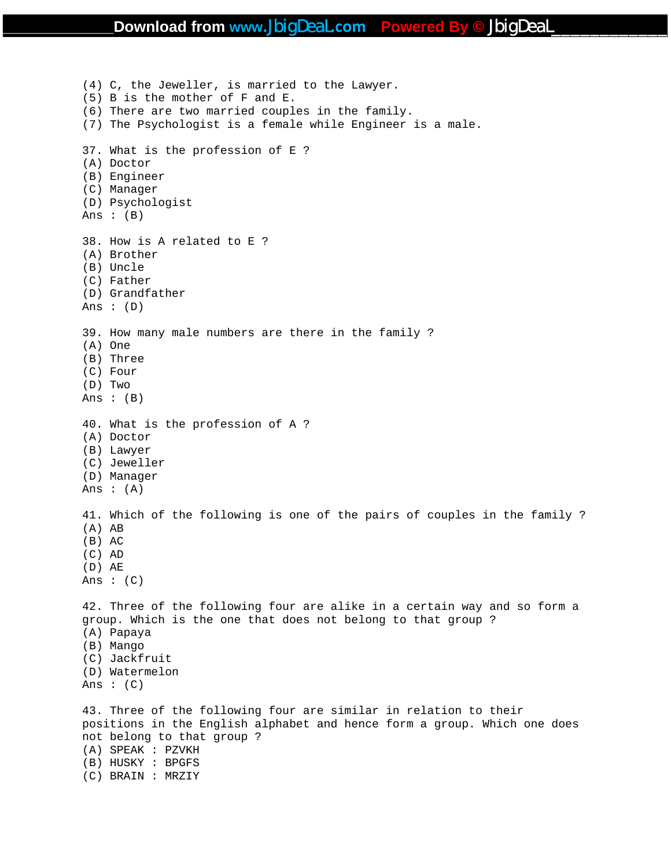(4) C, the Jeweller, is married to the Lawyer. (5) B is the mother of F and E. (6) There are two married couples in the family. (7) The Psychologist is a female while Engineer is a male. 37. What is the profession of E ? (A) Doctor (B) Engineer (C) Manager (D) Psychologist Ans :  $(B)$ 38. How is A related to E ? (A) Brother (B) Uncle (C) Father (D) Grandfather Ans : (D) 39. How many male numbers are there in the family ? (A) One (B) Three (C) Four (D) Two Ans : (B) 40. What is the profession of A ? (A) Doctor (B) Lawyer (C) Jeweller (D) Manager Ans :  $(A)$ 41. Which of the following is one of the pairs of couples in the family ? (A) AB (B) AC (C) AD (D) AE Ans :  $(C)$ 42. Three of the following four are alike in a certain way and so form a group. Which is the one that does not belong to that group ? (A) Papaya (B) Mango (C) Jackfruit (D) Watermelon Ans :  $(C)$ 43. Three of the following four are similar in relation to their positions in the English alphabet and hence form a group. Which one does not belong to that group ? (A) SPEAK : PZVKH (B) HUSKY : BPGFS (C) BRAIN : MRZIY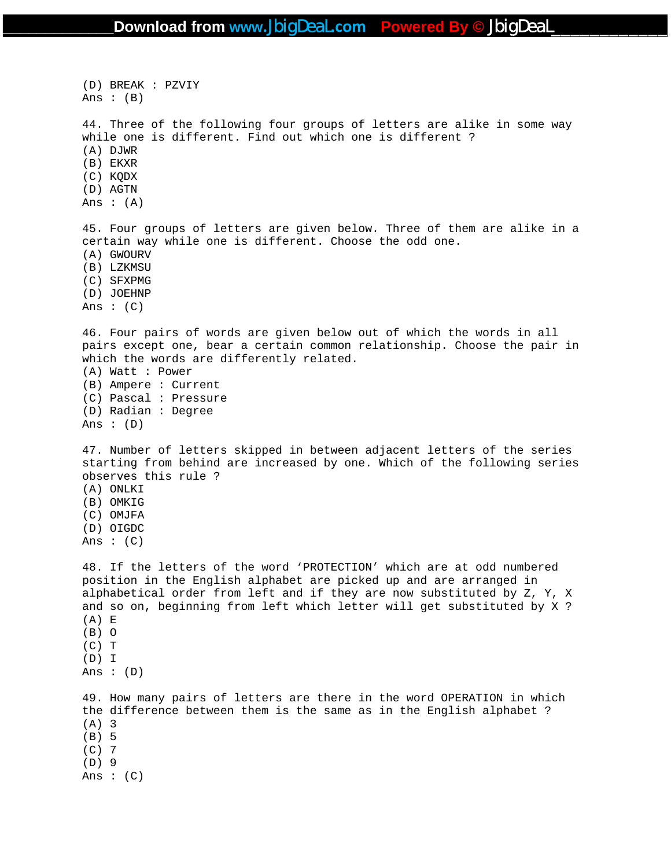(D) BREAK : PZVIY Ans  $: (B)$ 44. Three of the following four groups of letters are alike in some way while one is different. Find out which one is different ? (A) DJWR (B) EKXR (C) KQDX (D) AGTN Ans  $:(A)$ 45. Four groups of letters are given below. Three of them are alike in a certain way while one is different. Choose the odd one. (A) GWOURV (B) LZKMSU (C) SFXPMG (D) JOEHNP Ans :  $(C)$ 46. Four pairs of words are given below out of which the words in all pairs except one, bear a certain common relationship. Choose the pair in which the words are differently related. (A) Watt : Power (B) Ampere : Current (C) Pascal : Pressure (D) Radian : Degree Ans :  $(D)$ 47. Number of letters skipped in between adjacent letters of the series starting from behind are increased by one. Which of the following series observes this rule ? (A) ONLKI (B) OMKIG (C) OMJFA (D) OIGDC Ans  $: (C)$ 48. If the letters of the word 'PROTECTION' which are at odd numbered position in the English alphabet are picked up and are arranged in alphabetical order from left and if they are now substituted by Z, Y, X and so on, beginning from left which letter will get substituted by X ? (A) E (B) O  $(C)$  T (D) I Ans : (D) 49. How many pairs of letters are there in the word OPERATION in which the difference between them is the same as in the English alphabet ? (A) 3 (B) 5 (C) 7 (D) 9 Ans :  $(C)$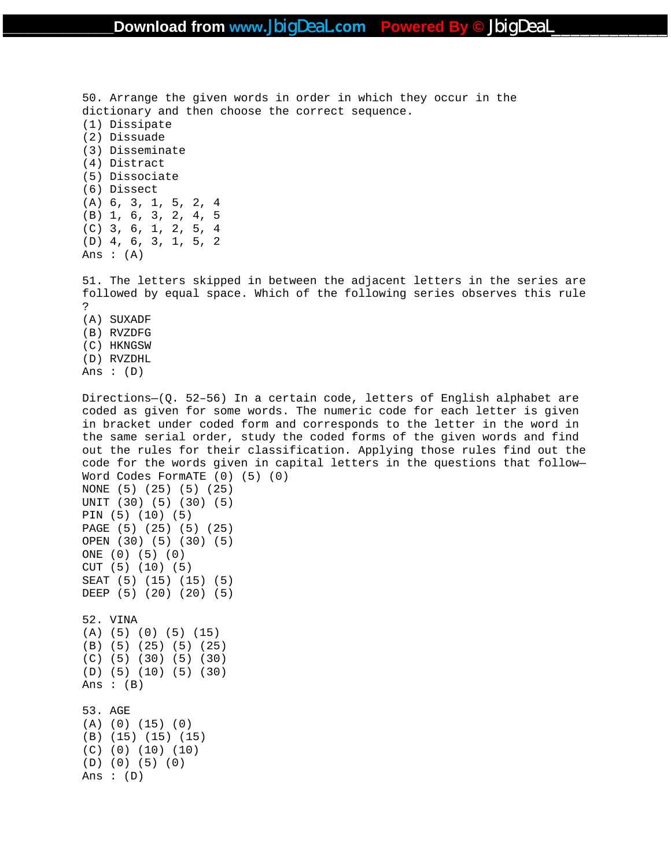50. Arrange the given words in order in which they occur in the dictionary and then choose the correct sequence. (1) Dissipate (2) Dissuade (3) Disseminate (4) Distract (5) Dissociate (6) Dissect (A) 6, 3, 1, 5, 2, 4 (B) 1, 6, 3, 2, 4, 5 (C) 3, 6, 1, 2, 5, 4 (D) 4, 6, 3, 1, 5, 2 Ans  $:(A)$ 51. The letters skipped in between the adjacent letters in the series are

followed by equal space. Which of the following series observes this rule ? (A) SUXADF (B) RVZDFG (C) HKNGSW

(D) RVZDHL Ans :  $(D)$ 

(D) (0) (5) (0)

Ans :  $(D)$ 

Directions—(Q. 52–56) In a certain code, letters of English alphabet are coded as given for some words. The numeric code for each letter is given in bracket under coded form and corresponds to the letter in the word in the same serial order, study the coded forms of the given words and find out the rules for their classification. Applying those rules find out the code for the words given in capital letters in the questions that follow— Word Codes FormATE (0) (5) (0) NONE (5) (25) (5) (25) UNIT (30) (5) (30) (5) PIN (5) (10) (5) PAGE (5) (25) (5) (25) OPEN (30) (5) (30) (5) ONE (0) (5) (0) CUT (5) (10) (5) SEAT (5) (15) (15) (5) DEEP (5) (20) (20) (5) 52. VINA (A) (5) (0) (5) (15) (B) (5) (25) (5) (25) (C) (5) (30) (5) (30) (D) (5) (10) (5) (30) Ans  $:(B)$ 53. AGE (A) (0) (15) (0) (B) (15) (15) (15) (C) (0) (10) (10)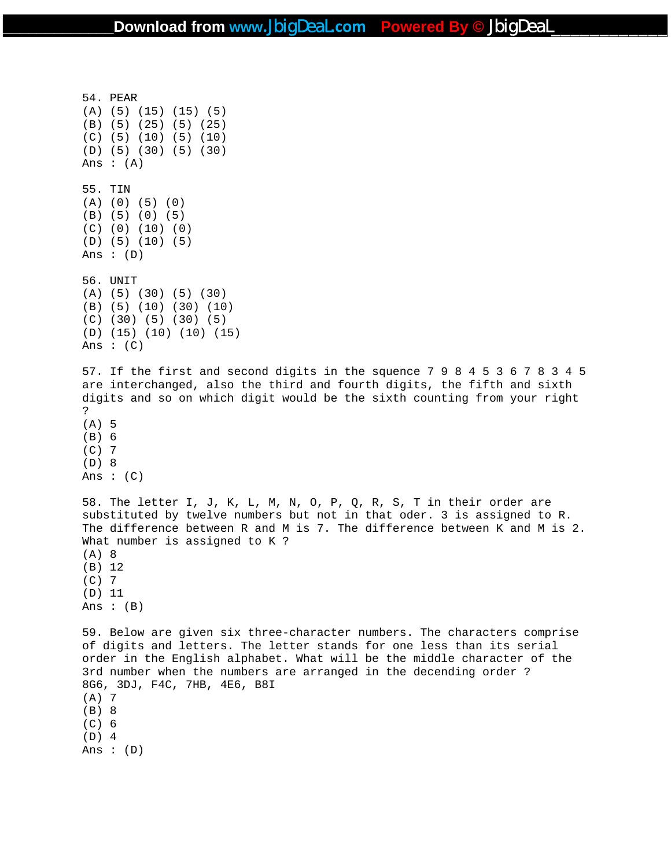54. PEAR (A) (5) (15) (15) (5) (B) (5) (25) (5) (25) (C) (5) (10) (5) (10) (D) (5) (30) (5) (30) Ans : (A) 55. TIN (A) (0) (5) (0) (B) (5) (0) (5) (C) (0) (10) (0) (D) (5) (10) (5) Ans : (D) 56. UNIT (A) (5) (30) (5) (30) (B) (5) (10) (30) (10) (C) (30) (5) (30) (5) (D) (15) (10) (10) (15) Ans :  $(C)$ 57. If the first and second digits in the squence 7 9 8 4 5 3 6 7 8 3 4 5 are interchanged, also the third and fourth digits, the fifth and sixth digits and so on which digit would be the sixth counting from your right ? (A) 5 (B) 6 (C) 7 (D) 8 Ans :  $(C)$ 58. The letter I, J, K, L, M, N, O, P, Q, R, S, T in their order are substituted by twelve numbers but not in that oder. 3 is assigned to R. The difference between R and M is 7. The difference between K and M is 2. What number is assigned to K ? (A) 8 (B) 12 (C) 7 (D) 11 Ans  $: (B)$ 59. Below are given six three-character numbers. The characters comprise of digits and letters. The letter stands for one less than its serial order in the English alphabet. What will be the middle character of the 3rd number when the numbers are arranged in the decending order ? 8G6, 3DJ, F4C, 7HB, 4E6, B8I (A) 7 (B) 8 (C) 6 (D) 4 Ans : (D)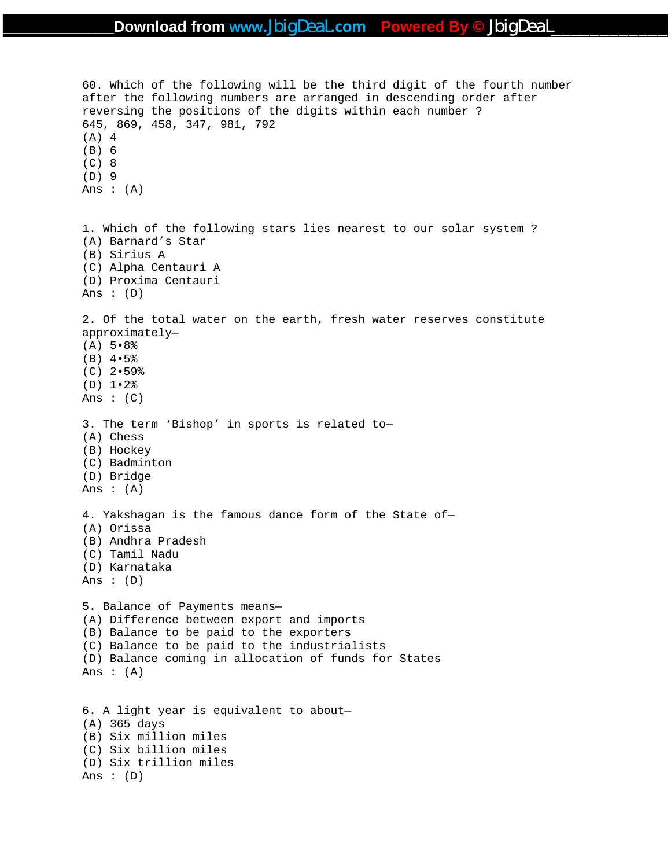60. Which of the following will be the third digit of the fourth number after the following numbers are arranged in descending order after reversing the positions of the digits within each number ? 645, 869, 458, 347, 981, 792 (A) 4 (B) 6 (C) 8 (D) 9 Ans  $:(A)$ 1. Which of the following stars lies nearest to our solar system ? (A) Barnard's Star (B) Sirius A (C) Alpha Centauri A (D) Proxima Centauri Ans :  $(D)$ 2. Of the total water on the earth, fresh water reserves constitute approximately— (A) 5•8% (B) 4•5% (C) 2•59% (D) 1•2% Ans :  $(C)$ 3. The term 'Bishop' in sports is related to— (A) Chess (B) Hockey (C) Badminton (D) Bridge Ans  $:(A)$ 4. Yakshagan is the famous dance form of the State of— (A) Orissa (B) Andhra Pradesh (C) Tamil Nadu (D) Karnataka Ans :  $(D)$ 5. Balance of Payments means— (A) Difference between export and imports (B) Balance to be paid to the exporters (C) Balance to be paid to the industrialists (D) Balance coming in allocation of funds for States Ans :  $(A)$ 6. A light year is equivalent to about— (A) 365 days (B) Six million miles (C) Six billion miles (D) Six trillion miles Ans :  $(D)$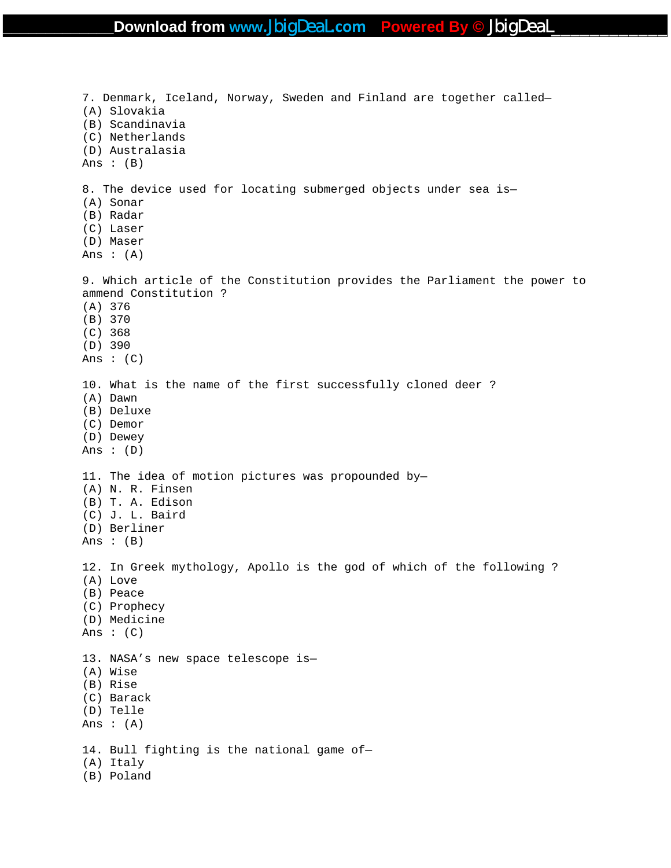7. Denmark, Iceland, Norway, Sweden and Finland are together called— (A) Slovakia (B) Scandinavia (C) Netherlands (D) Australasia Ans : (B) 8. The device used for locating submerged objects under sea is— (A) Sonar (B) Radar (C) Laser (D) Maser Ans  $: (A)$ 9. Which article of the Constitution provides the Parliament the power to ammend Constitution ? (A) 376 (B) 370 (C) 368 (D) 390 Ans :  $(C)$ 10. What is the name of the first successfully cloned deer ? (A) Dawn (B) Deluxe (C) Demor (D) Dewey Ans :  $(D)$ 11. The idea of motion pictures was propounded by— (A) N. R. Finsen (B) T. A. Edison (C) J. L. Baird (D) Berliner Ans :  $(B)$ 12. In Greek mythology, Apollo is the god of which of the following ? (A) Love (B) Peace (C) Prophecy (D) Medicine Ans :  $(C)$ 13. NASA's new space telescope is— (A) Wise (B) Rise (C) Barack (D) Telle Ans : (A) 14. Bull fighting is the national game of— (A) Italy (B) Poland